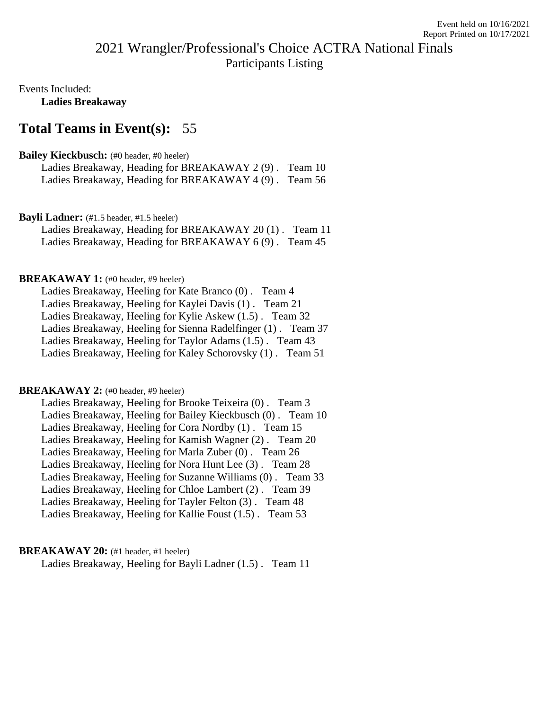# 2021 Wrangler/Professional's Choice ACTRA National Finals Participants Listing

Events Included: **Ladies Breakaway**

## **Total Teams in Event(s):** 55

## **Bailey Kieckbusch:** (#0 header, #0 heeler)

| Ladies Breakaway, Heading for BREAKAWAY 2 (9). Team 10 |  |
|--------------------------------------------------------|--|
| Ladies Breakaway, Heading for BREAKAWAY 4 (9). Team 56 |  |

### Bayli Ladner: (#1.5 header, #1.5 heeler)

Ladies Breakaway, Heading for BREAKAWAY 20 (1) . Team 11 Ladies Breakaway, Heading for BREAKAWAY 6 (9) . Team 45

### **BREAKAWAY 1:** (#0 header, #9 heeler)

Ladies Breakaway, Heeling for Kate Branco (0) . Team 4 Ladies Breakaway, Heeling for Kaylei Davis (1) . Team 21 Ladies Breakaway, Heeling for Kylie Askew (1.5) . Team 32 Ladies Breakaway, Heeling for Sienna Radelfinger (1) . Team 37 Ladies Breakaway, Heeling for Taylor Adams (1.5) . Team 43 Ladies Breakaway, Heeling for Kaley Schorovsky (1) . Team 51

#### **BREAKAWAY 2:** (#0 header, #9 heeler)

Ladies Breakaway, Heeling for Brooke Teixeira (0) . Team 3 Ladies Breakaway, Heeling for Bailey Kieckbusch (0) . Team 10 Ladies Breakaway, Heeling for Cora Nordby (1) . Team 15 Ladies Breakaway, Heeling for Kamish Wagner (2) . Team 20 Ladies Breakaway, Heeling for Marla Zuber (0) . Team 26 Ladies Breakaway, Heeling for Nora Hunt Lee (3) . Team 28 Ladies Breakaway, Heeling for Suzanne Williams (0) . Team 33 Ladies Breakaway, Heeling for Chloe Lambert (2) . Team 39 Ladies Breakaway, Heeling for Tayler Felton (3) . Team 48 Ladies Breakaway, Heeling for Kallie Foust (1.5) . Team 53

#### **BREAKAWAY 20:** (#1 header, #1 heeler)

Ladies Breakaway, Heeling for Bayli Ladner (1.5) . Team 11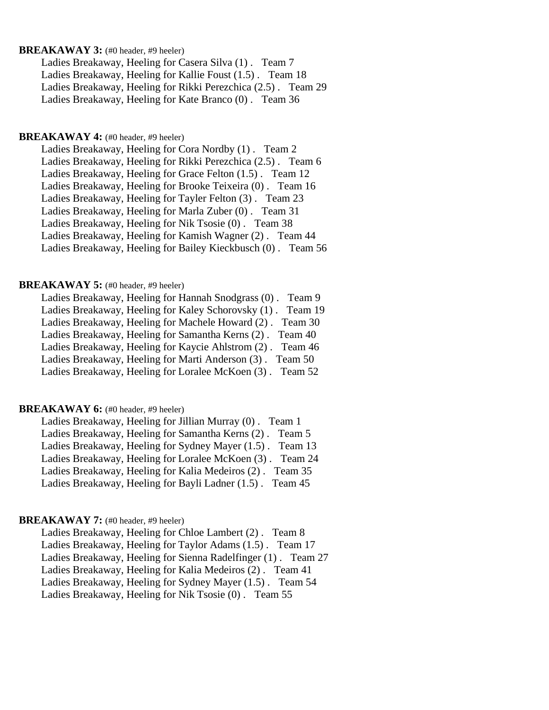#### **BREAKAWAY 3:** (#0 header, #9 heeler)

Ladies Breakaway, Heeling for Casera Silva (1) . Team 7 Ladies Breakaway, Heeling for Kallie Foust (1.5) . Team 18 Ladies Breakaway, Heeling for Rikki Perezchica (2.5) . Team 29 Ladies Breakaway, Heeling for Kate Branco (0) . Team 36

#### **BREAKAWAY 4:** (#0 header, #9 heeler)

Ladies Breakaway, Heeling for Cora Nordby (1) . Team 2 Ladies Breakaway, Heeling for Rikki Perezchica (2.5) . Team 6 Ladies Breakaway, Heeling for Grace Felton (1.5) . Team 12 Ladies Breakaway, Heeling for Brooke Teixeira (0) . Team 16 Ladies Breakaway, Heeling for Tayler Felton (3) . Team 23 Ladies Breakaway, Heeling for Marla Zuber (0) . Team 31 Ladies Breakaway, Heeling for Nik Tsosie (0) . Team 38 Ladies Breakaway, Heeling for Kamish Wagner (2) . Team 44 Ladies Breakaway, Heeling for Bailey Kieckbusch (0) . Team 56

#### **BREAKAWAY 5:** (#0 header, #9 heeler)

| Ladies Breakaway, Heeling for Hannah Snodgrass (0). Team 9 |         |
|------------------------------------------------------------|---------|
| Ladies Breakaway, Heeling for Kaley Schorovsky (1).        | Team 19 |
| Ladies Breakaway, Heeling for Machele Howard (2). Team 30  |         |
| Ladies Breakaway, Heeling for Samantha Kerns (2). Team 40  |         |
| Ladies Breakaway, Heeling for Kaycie Ahlstrom (2). Team 46 |         |
| Ladies Breakaway, Heeling for Marti Anderson (3). Team 50  |         |
| Ladies Breakaway, Heeling for Loralee McKoen (3). Team 52  |         |
|                                                            |         |

### **BREAKAWAY 6:** (#0 header, #9 heeler)

Ladies Breakaway, Heeling for Jillian Murray (0) . Team 1 Ladies Breakaway, Heeling for Samantha Kerns (2) . Team 5 Ladies Breakaway, Heeling for Sydney Mayer (1.5) . Team 13 Ladies Breakaway, Heeling for Loralee McKoen (3) . Team 24 Ladies Breakaway, Heeling for Kalia Medeiros (2) . Team 35 Ladies Breakaway, Heeling for Bayli Ladner (1.5) . Team 45

#### **BREAKAWAY 7:** (#0 header, #9 heeler)

Ladies Breakaway, Heeling for Chloe Lambert (2) . Team 8 Ladies Breakaway, Heeling for Taylor Adams (1.5) . Team 17 Ladies Breakaway, Heeling for Sienna Radelfinger (1) . Team 27 Ladies Breakaway, Heeling for Kalia Medeiros (2) . Team 41 Ladies Breakaway, Heeling for Sydney Mayer (1.5) . Team 54 Ladies Breakaway, Heeling for Nik Tsosie (0). Team 55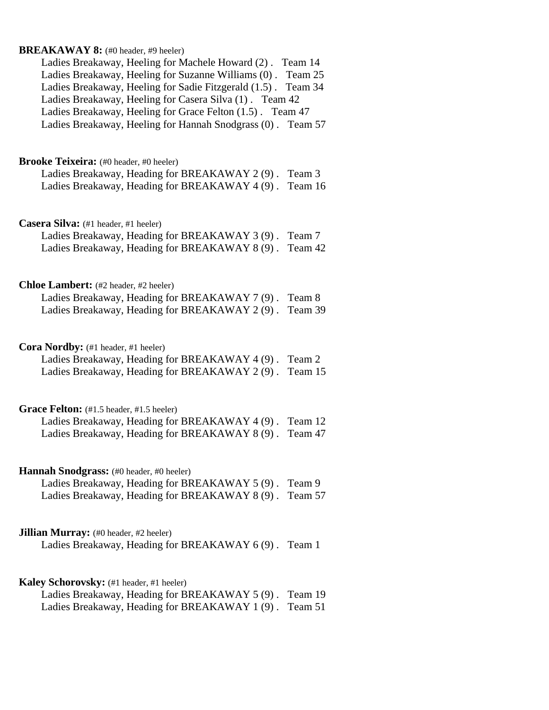# **BREAKAWAY 8:** (#0 header, #9 heeler) Ladies Breakaway, Heeling for Machele Howard (2) . Team 14 Ladies Breakaway, Heeling for Suzanne Williams (0) . Team 25 Ladies Breakaway, Heeling for Sadie Fitzgerald (1.5) . Team 34 Ladies Breakaway, Heeling for Casera Silva (1) . Team 42 Ladies Breakaway, Heeling for Grace Felton (1.5) . Team 47 Ladies Breakaway, Heeling for Hannah Snodgrass (0) . Team 57 **Brooke Teixeira:** (#0 header, #0 heeler) Ladies Breakaway, Heading for BREAKAWAY 2 (9) . Team 3 Ladies Breakaway, Heading for BREAKAWAY 4 (9) . Team 16 **Casera Silva:** (#1 header, #1 heeler) Ladies Breakaway, Heading for BREAKAWAY 3 (9) . Team 7 Ladies Breakaway, Heading for BREAKAWAY 8 (9) . Team 42 **Chloe Lambert:** (#2 header, #2 heeler) Ladies Breakaway, Heading for BREAKAWAY 7 (9) . Team 8 Ladies Breakaway, Heading for BREAKAWAY 2 (9) . Team 39 Cora Nordby: (#1 header, #1 heeler) Ladies Breakaway, Heading for BREAKAWAY 4 (9) . Team 2 Ladies Breakaway, Heading for BREAKAWAY 2 (9) . Team 15 Grace Felton: (#1.5 header, #1.5 heeler) Ladies Breakaway, Heading for BREAKAWAY 4 (9) . Team 12 Ladies Breakaway, Heading for BREAKAWAY 8 (9) . Team 47 **Hannah Snodgrass:** (#0 header, #0 heeler) Ladies Breakaway, Heading for BREAKAWAY 5 (9) . Team 9 Ladies Breakaway, Heading for BREAKAWAY 8 (9) . Team 57 **Jillian Murray:** (#0 header, #2 heeler) Ladies Breakaway, Heading for BREAKAWAY 6 (9) . Team 1 **Kaley Schorovsky:** (#1 header, #1 heeler) Ladies Breakaway, Heading for BREAKAWAY 5 (9) . Team 19 Ladies Breakaway, Heading for BREAKAWAY 1 (9) . Team 51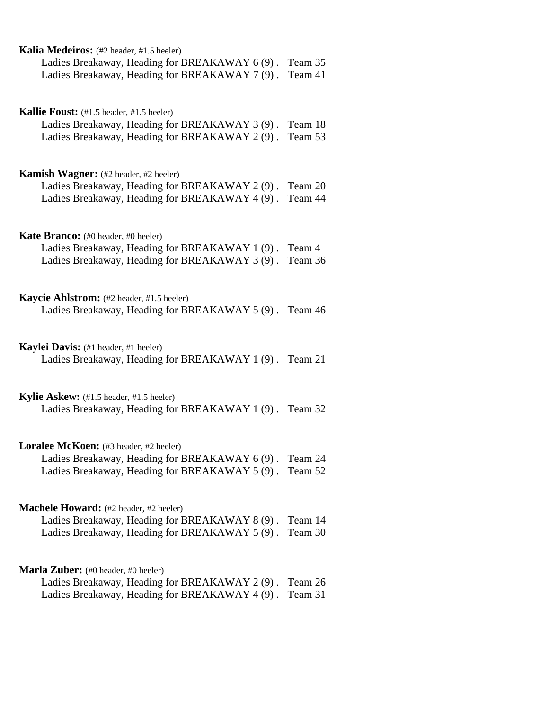| Kalia Medeiros: (#2 header, #1.5 heeler)               |         |
|--------------------------------------------------------|---------|
| Ladies Breakaway, Heading for BREAKAWAY 6(9). Team 35  |         |
| Ladies Breakaway, Heading for BREAKAWAY 7 (9). Team 41 |         |
|                                                        |         |
| <b>Kallie Foust:</b> (#1.5 header, #1.5 heeler)        |         |
| Ladies Breakaway, Heading for BREAKAWAY 3 (9).         | Team 18 |
| Ladies Breakaway, Heading for BREAKAWAY 2 (9).         | Team 53 |
| <b>Kamish Wagner:</b> (#2 header, #2 heeler)           |         |
| Ladies Breakaway, Heading for BREAKAWAY 2 (9).         | Team 20 |
| Ladies Breakaway, Heading for BREAKAWAY 4 (9). Team 44 |         |
| <b>Kate Branco:</b> (#0 header, #0 heeler)             |         |
| Ladies Breakaway, Heading for BREAKAWAY 1 (9).         | Team 4  |
| Ladies Breakaway, Heading for BREAKAWAY 3 (9).         | Team 36 |
| Kaycie Ahlstrom: (#2 header, #1.5 heeler)              |         |
| Ladies Breakaway, Heading for BREAKAWAY 5 (9). Team 46 |         |
| Kaylei Davis: (#1 header, #1 heeler)                   |         |
| Ladies Breakaway, Heading for BREAKAWAY 1 (9). Team 21 |         |
| Kylie Askew: (#1.5 header, #1.5 heeler)                |         |
| Ladies Breakaway, Heading for BREAKAWAY 1 (9). Team 32 |         |
| <b>Loralee McKoen:</b> (#3 header, #2 heeler)          |         |
| Ladies Breakaway, Heading for BREAKAWAY 6 (9).         | Team 24 |
| Ladies Breakaway, Heading for BREAKAWAY 5 (9).         | Team 52 |
| Machele Howard: (#2 header, #2 heeler)                 |         |
| Ladies Breakaway, Heading for BREAKAWAY 8(9).          | Team 14 |
| Ladies Breakaway, Heading for BREAKAWAY 5 (9).         | Team 30 |
| <b>Marla Zuber:</b> (#0 header, #0 heeler)             |         |
| Ladies Breakaway, Heading for BREAKAWAY 2 (9).         | Team 26 |
| Ladies Breakaway, Heading for BREAKAWAY 4 (9).         | Team 31 |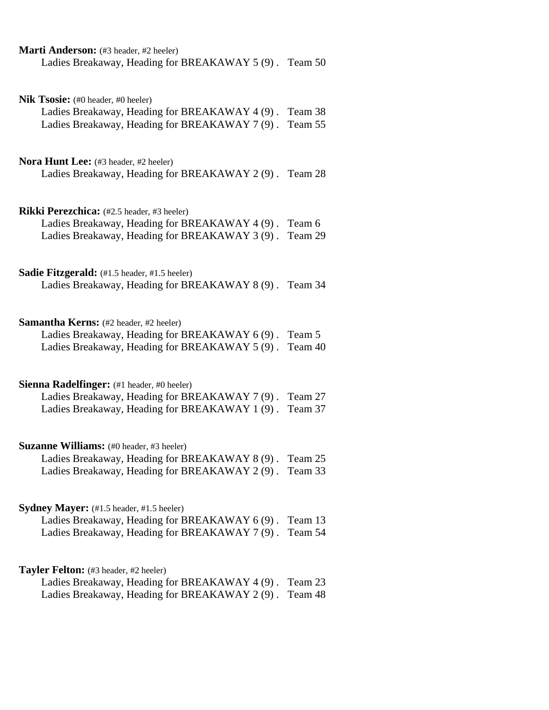| Marti Anderson: (#3 header, #2 heeler)<br>Ladies Breakaway, Heading for BREAKAWAY 5 (9). Team 50                                                                       |                    |
|------------------------------------------------------------------------------------------------------------------------------------------------------------------------|--------------------|
| Nik Tsosie: (#0 header, #0 heeler)<br>Ladies Breakaway, Heading for BREAKAWAY 4 (9).<br>Ladies Breakaway, Heading for BREAKAWAY 7 (9). Team 55                         | Team 38            |
| Nora Hunt Lee: (#3 header, #2 heeler)<br>Ladies Breakaway, Heading for BREAKAWAY 2(9). Team 28                                                                         |                    |
| <b>Rikki Perezchica:</b> (#2.5 header, #3 heeler)<br>Ladies Breakaway, Heading for BREAKAWAY 4 (9). Team 6<br>Ladies Breakaway, Heading for BREAKAWAY 3 (9). Team 29   |                    |
| Sadie Fitzgerald: (#1.5 header, #1.5 heeler)<br>Ladies Breakaway, Heading for BREAKAWAY 8 (9). Team 34                                                                 |                    |
| <b>Samantha Kerns:</b> (#2 header, #2 heeler)<br>Ladies Breakaway, Heading for BREAKAWAY 6 (9). Team 5<br>Ladies Breakaway, Heading for BREAKAWAY 5 (9).               | Team 40            |
| Sienna Radelfinger: (#1 header, #0 heeler)<br>Ladies Breakaway, Heading for BREAKAWAY 7 (9). Team 27<br>Ladies Breakaway, Heading for BREAKAWAY 1(9). Team 37          |                    |
| Suzanne Williams: (#0 header, #3 heeler)<br>Ladies Breakaway, Heading for BREAKAWAY 8 (9).<br>Ladies Breakaway, Heading for BREAKAWAY 2 (9).                           | Team 25<br>Team 33 |
| <b>Sydney Mayer:</b> $(\#1.5 \text{ header}, \#1.5 \text{ header})$<br>Ladies Breakaway, Heading for BREAKAWAY 6(9).<br>Ladies Breakaway, Heading for BREAKAWAY 7 (9). | Team 13<br>Team 54 |
| <b>Tayler Felton:</b> (#3 header, #2 heeler)<br>Ladies Breakaway, Heading for BREAKAWAY 4 (9).<br>Ladies Breakaway, Heading for BREAKAWAY 2 (9).                       | Team 23<br>Team 48 |